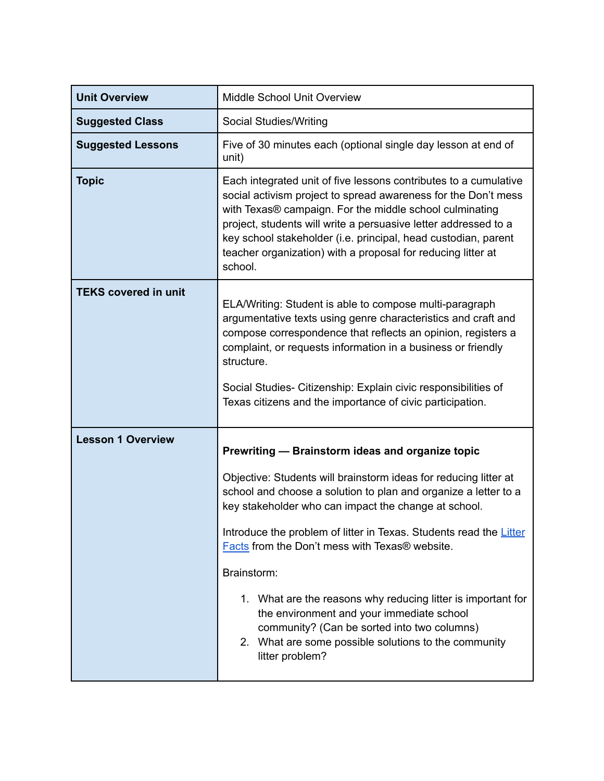| <b>Unit Overview</b>        | <b>Middle School Unit Overview</b>                                                                                                                                                                                                                                                                                                                                                                                                                                                                                                                                                                                            |
|-----------------------------|-------------------------------------------------------------------------------------------------------------------------------------------------------------------------------------------------------------------------------------------------------------------------------------------------------------------------------------------------------------------------------------------------------------------------------------------------------------------------------------------------------------------------------------------------------------------------------------------------------------------------------|
| <b>Suggested Class</b>      | Social Studies/Writing                                                                                                                                                                                                                                                                                                                                                                                                                                                                                                                                                                                                        |
| <b>Suggested Lessons</b>    | Five of 30 minutes each (optional single day lesson at end of<br>unit)                                                                                                                                                                                                                                                                                                                                                                                                                                                                                                                                                        |
| <b>Topic</b>                | Each integrated unit of five lessons contributes to a cumulative<br>social activism project to spread awareness for the Don't mess<br>with Texas® campaign. For the middle school culminating<br>project, students will write a persuasive letter addressed to a<br>key school stakeholder (i.e. principal, head custodian, parent<br>teacher organization) with a proposal for reducing litter at<br>school.                                                                                                                                                                                                                 |
| <b>TEKS covered in unit</b> | ELA/Writing: Student is able to compose multi-paragraph<br>argumentative texts using genre characteristics and craft and<br>compose correspondence that reflects an opinion, registers a<br>complaint, or requests information in a business or friendly<br>structure.<br>Social Studies- Citizenship: Explain civic responsibilities of<br>Texas citizens and the importance of civic participation.                                                                                                                                                                                                                         |
| <b>Lesson 1 Overview</b>    | Prewriting - Brainstorm ideas and organize topic<br>Objective: Students will brainstorm ideas for reducing litter at<br>school and choose a solution to plan and organize a letter to a<br>key stakeholder who can impact the change at school.<br>Introduce the problem of litter in Texas. Students read the Litter<br>Facts from the Don't mess with Texas® website.<br>Brainstorm:<br>1. What are the reasons why reducing litter is important for<br>the environment and your immediate school<br>community? (Can be sorted into two columns)<br>2. What are some possible solutions to the community<br>litter problem? |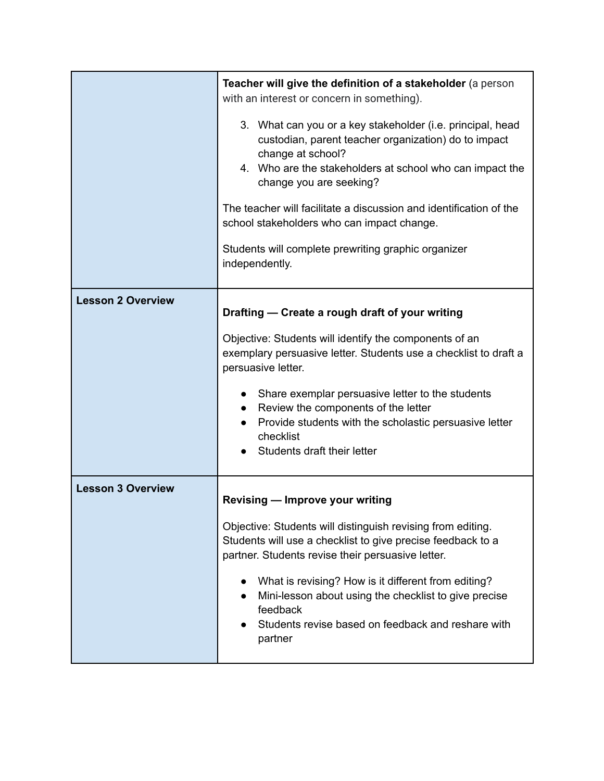|                          | Teacher will give the definition of a stakeholder (a person<br>with an interest or concern in something).<br>3. What can you or a key stakeholder (i.e. principal, head<br>custodian, parent teacher organization) do to impact<br>change at school?<br>4. Who are the stakeholders at school who can impact the<br>change you are seeking?<br>The teacher will facilitate a discussion and identification of the<br>school stakeholders who can impact change.<br>Students will complete prewriting graphic organizer<br>independently. |
|--------------------------|------------------------------------------------------------------------------------------------------------------------------------------------------------------------------------------------------------------------------------------------------------------------------------------------------------------------------------------------------------------------------------------------------------------------------------------------------------------------------------------------------------------------------------------|
| <b>Lesson 2 Overview</b> | Drafting - Create a rough draft of your writing<br>Objective: Students will identify the components of an<br>exemplary persuasive letter. Students use a checklist to draft a<br>persuasive letter.<br>• Share exemplar persuasive letter to the students<br>Review the components of the letter<br>Provide students with the scholastic persuasive letter<br>checklist<br>Students draft their letter                                                                                                                                   |
| <b>Lesson 3 Overview</b> | <b>Revising - Improve your writing</b><br>Objective: Students will distinguish revising from editing.<br>Students will use a checklist to give precise feedback to a<br>partner. Students revise their persuasive letter.<br>What is revising? How is it different from editing?<br>Mini-lesson about using the checklist to give precise<br>feedback<br>Students revise based on feedback and reshare with<br>partner                                                                                                                   |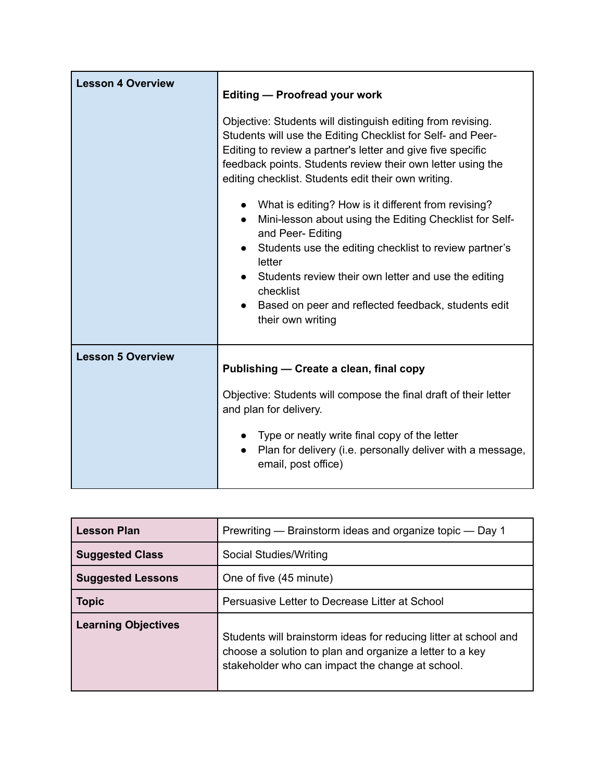| <b>Lesson 4 Overview</b> | <b>Editing - Proofread your work</b>                                                                                                                                                                                                                                                                                                                                  |
|--------------------------|-----------------------------------------------------------------------------------------------------------------------------------------------------------------------------------------------------------------------------------------------------------------------------------------------------------------------------------------------------------------------|
|                          | Objective: Students will distinguish editing from revising.<br>Students will use the Editing Checklist for Self- and Peer-<br>Editing to review a partner's letter and give five specific<br>feedback points. Students review their own letter using the<br>editing checklist. Students edit their own writing.                                                       |
|                          | What is editing? How is it different from revising?<br>Mini-lesson about using the Editing Checklist for Self-<br>$\bullet$<br>and Peer- Editing<br>Students use the editing checklist to review partner's<br>letter<br>Students review their own letter and use the editing<br>checklist<br>Based on peer and reflected feedback, students edit<br>their own writing |
| <b>Lesson 5 Overview</b> | Publishing - Create a clean, final copy                                                                                                                                                                                                                                                                                                                               |
|                          | Objective: Students will compose the final draft of their letter<br>and plan for delivery.                                                                                                                                                                                                                                                                            |
|                          | Type or neatly write final copy of the letter<br>Plan for delivery (i.e. personally deliver with a message,<br>email, post office)                                                                                                                                                                                                                                    |

| <b>Lesson Plan</b>         | Prewriting — Brainstorm ideas and organize topic — Day 1                                                                                                                         |
|----------------------------|----------------------------------------------------------------------------------------------------------------------------------------------------------------------------------|
| <b>Suggested Class</b>     | Social Studies/Writing                                                                                                                                                           |
| <b>Suggested Lessons</b>   | One of five (45 minute)                                                                                                                                                          |
| <b>Topic</b>               | Persuasive Letter to Decrease Litter at School                                                                                                                                   |
| <b>Learning Objectives</b> | Students will brainstorm ideas for reducing litter at school and<br>choose a solution to plan and organize a letter to a key<br>stakeholder who can impact the change at school. |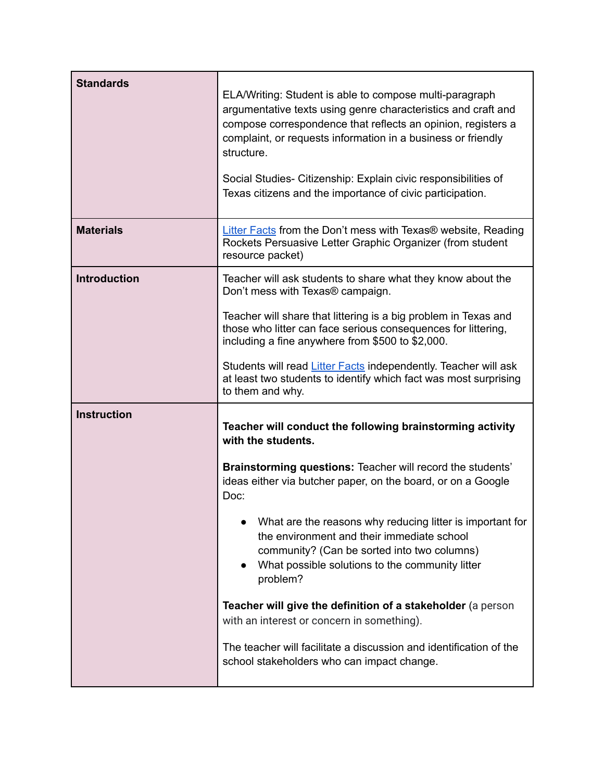| <b>Standards</b>    | ELA/Writing: Student is able to compose multi-paragraph<br>argumentative texts using genre characteristics and craft and<br>compose correspondence that reflects an opinion, registers a<br>complaint, or requests information in a business or friendly<br>structure.<br>Social Studies- Citizenship: Explain civic responsibilities of<br>Texas citizens and the importance of civic participation. |
|---------------------|-------------------------------------------------------------------------------------------------------------------------------------------------------------------------------------------------------------------------------------------------------------------------------------------------------------------------------------------------------------------------------------------------------|
| <b>Materials</b>    | <b>Litter Facts from the Don't mess with Texas® website, Reading</b><br>Rockets Persuasive Letter Graphic Organizer (from student<br>resource packet)                                                                                                                                                                                                                                                 |
| <b>Introduction</b> | Teacher will ask students to share what they know about the<br>Don't mess with Texas® campaign.                                                                                                                                                                                                                                                                                                       |
|                     | Teacher will share that littering is a big problem in Texas and<br>those who litter can face serious consequences for littering,<br>including a fine anywhere from \$500 to \$2,000.                                                                                                                                                                                                                  |
|                     | Students will read Litter Facts independently. Teacher will ask<br>at least two students to identify which fact was most surprising<br>to them and why.                                                                                                                                                                                                                                               |
| <b>Instruction</b>  | Teacher will conduct the following brainstorming activity<br>with the students.                                                                                                                                                                                                                                                                                                                       |
|                     | <b>Brainstorming questions: Teacher will record the students'</b><br>ideas either via butcher paper, on the board, or on a Google<br>Doc:                                                                                                                                                                                                                                                             |
|                     | What are the reasons why reducing litter is important for<br>the environment and their immediate school<br>community? (Can be sorted into two columns)<br>What possible solutions to the community litter<br>problem?                                                                                                                                                                                 |
|                     | Teacher will give the definition of a stakeholder (a person<br>with an interest or concern in something).                                                                                                                                                                                                                                                                                             |
|                     | The teacher will facilitate a discussion and identification of the<br>school stakeholders who can impact change.                                                                                                                                                                                                                                                                                      |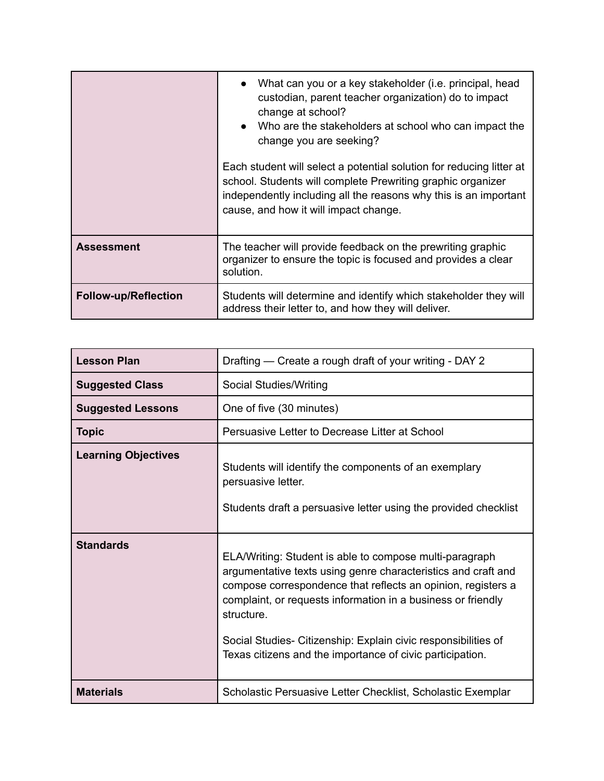|                             | What can you or a key stakeholder (i.e. principal, head<br>custodian, parent teacher organization) do to impact<br>change at school?<br>Who are the stakeholders at school who can impact the<br>change you are seeking?<br>Each student will select a potential solution for reducing litter at<br>school. Students will complete Prewriting graphic organizer<br>independently including all the reasons why this is an important<br>cause, and how it will impact change. |
|-----------------------------|------------------------------------------------------------------------------------------------------------------------------------------------------------------------------------------------------------------------------------------------------------------------------------------------------------------------------------------------------------------------------------------------------------------------------------------------------------------------------|
| <b>Assessment</b>           | The teacher will provide feedback on the prewriting graphic<br>organizer to ensure the topic is focused and provides a clear<br>solution.                                                                                                                                                                                                                                                                                                                                    |
| <b>Follow-up/Reflection</b> | Students will determine and identify which stakeholder they will<br>address their letter to, and how they will deliver.                                                                                                                                                                                                                                                                                                                                                      |

| <b>Lesson Plan</b>         | Drafting - Create a rough draft of your writing - DAY 2                                                                                                                                                                                                                                                                                                                                               |
|----------------------------|-------------------------------------------------------------------------------------------------------------------------------------------------------------------------------------------------------------------------------------------------------------------------------------------------------------------------------------------------------------------------------------------------------|
| <b>Suggested Class</b>     | Social Studies/Writing                                                                                                                                                                                                                                                                                                                                                                                |
| <b>Suggested Lessons</b>   | One of five (30 minutes)                                                                                                                                                                                                                                                                                                                                                                              |
| <b>Topic</b>               | Persuasive Letter to Decrease Litter at School                                                                                                                                                                                                                                                                                                                                                        |
| <b>Learning Objectives</b> | Students will identify the components of an exemplary<br>persuasive letter.<br>Students draft a persuasive letter using the provided checklist                                                                                                                                                                                                                                                        |
| <b>Standards</b>           | ELA/Writing: Student is able to compose multi-paragraph<br>argumentative texts using genre characteristics and craft and<br>compose correspondence that reflects an opinion, registers a<br>complaint, or requests information in a business or friendly<br>structure.<br>Social Studies- Citizenship: Explain civic responsibilities of<br>Texas citizens and the importance of civic participation. |
| <b>Materials</b>           | Scholastic Persuasive Letter Checklist, Scholastic Exemplar                                                                                                                                                                                                                                                                                                                                           |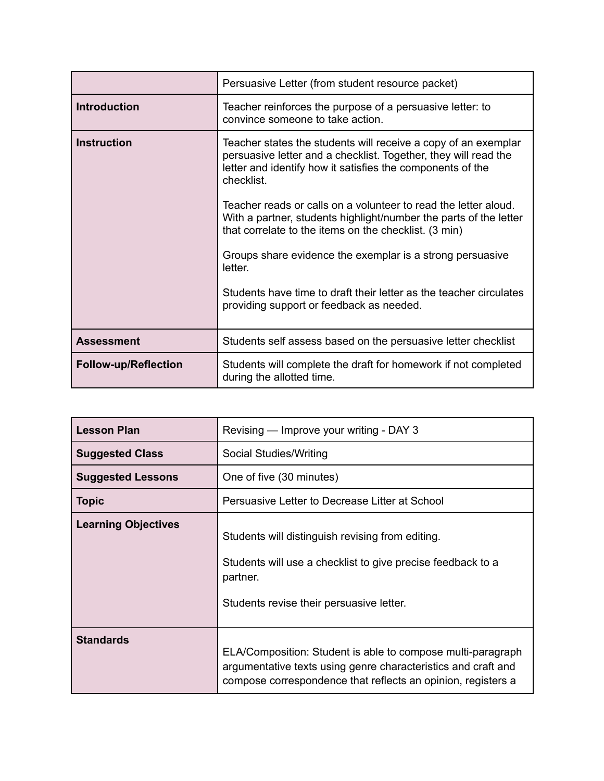|                             | Persuasive Letter (from student resource packet)                                                                                                                                                              |
|-----------------------------|---------------------------------------------------------------------------------------------------------------------------------------------------------------------------------------------------------------|
| <b>Introduction</b>         | Teacher reinforces the purpose of a persuasive letter: to<br>convince someone to take action.                                                                                                                 |
| <b>Instruction</b>          | Teacher states the students will receive a copy of an exemplar<br>persuasive letter and a checklist. Together, they will read the<br>letter and identify how it satisfies the components of the<br>checklist. |
|                             | Teacher reads or calls on a volunteer to read the letter aloud.<br>With a partner, students highlight/number the parts of the letter<br>that correlate to the items on the checklist. (3 min)                 |
|                             | Groups share evidence the exemplar is a strong persuasive<br>letter.                                                                                                                                          |
|                             | Students have time to draft their letter as the teacher circulates<br>providing support or feedback as needed.                                                                                                |
| <b>Assessment</b>           | Students self assess based on the persuasive letter checklist                                                                                                                                                 |
| <b>Follow-up/Reflection</b> | Students will complete the draft for homework if not completed<br>during the allotted time.                                                                                                                   |

| <b>Lesson Plan</b>         | Revising — Improve your writing - DAY 3                                                                                                                                                      |
|----------------------------|----------------------------------------------------------------------------------------------------------------------------------------------------------------------------------------------|
| <b>Suggested Class</b>     | Social Studies/Writing                                                                                                                                                                       |
| <b>Suggested Lessons</b>   | One of five (30 minutes)                                                                                                                                                                     |
| <b>Topic</b>               | Persuasive Letter to Decrease Litter at School                                                                                                                                               |
| <b>Learning Objectives</b> | Students will distinguish revising from editing.<br>Students will use a checklist to give precise feedback to a<br>partner.<br>Students revise their persuasive letter.                      |
| <b>Standards</b>           | ELA/Composition: Student is able to compose multi-paragraph<br>argumentative texts using genre characteristics and craft and<br>compose correspondence that reflects an opinion, registers a |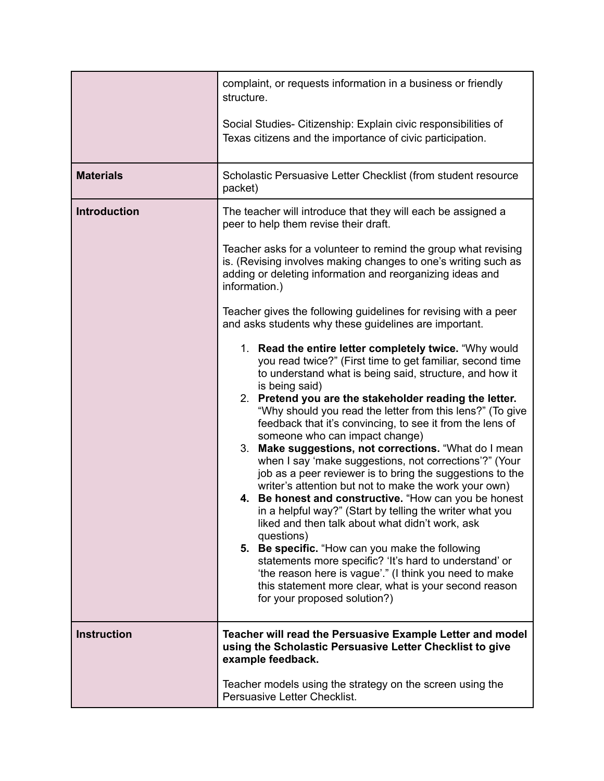|                     | complaint, or requests information in a business or friendly<br>structure.                                                                                                                                                                                                                                                                                                                                                                                                                                                                                                                                                                                                                                                                                                                                                                                                                                                                                                                                                                                                                                                                                                                                                                                                                                                                                                                                                                                                                                                                                                   |
|---------------------|------------------------------------------------------------------------------------------------------------------------------------------------------------------------------------------------------------------------------------------------------------------------------------------------------------------------------------------------------------------------------------------------------------------------------------------------------------------------------------------------------------------------------------------------------------------------------------------------------------------------------------------------------------------------------------------------------------------------------------------------------------------------------------------------------------------------------------------------------------------------------------------------------------------------------------------------------------------------------------------------------------------------------------------------------------------------------------------------------------------------------------------------------------------------------------------------------------------------------------------------------------------------------------------------------------------------------------------------------------------------------------------------------------------------------------------------------------------------------------------------------------------------------------------------------------------------------|
|                     | Social Studies- Citizenship: Explain civic responsibilities of<br>Texas citizens and the importance of civic participation.                                                                                                                                                                                                                                                                                                                                                                                                                                                                                                                                                                                                                                                                                                                                                                                                                                                                                                                                                                                                                                                                                                                                                                                                                                                                                                                                                                                                                                                  |
| <b>Materials</b>    | Scholastic Persuasive Letter Checklist (from student resource<br>packet)                                                                                                                                                                                                                                                                                                                                                                                                                                                                                                                                                                                                                                                                                                                                                                                                                                                                                                                                                                                                                                                                                                                                                                                                                                                                                                                                                                                                                                                                                                     |
| <b>Introduction</b> | The teacher will introduce that they will each be assigned a<br>peer to help them revise their draft.<br>Teacher asks for a volunteer to remind the group what revising<br>is. (Revising involves making changes to one's writing such as<br>adding or deleting information and reorganizing ideas and<br>information.)<br>Teacher gives the following guidelines for revising with a peer<br>and asks students why these guidelines are important.<br>1. Read the entire letter completely twice. "Why would<br>you read twice?" (First time to get familiar, second time<br>to understand what is being said, structure, and how it<br>is being said)<br>2. Pretend you are the stakeholder reading the letter.<br>"Why should you read the letter from this lens?" (To give<br>feedback that it's convincing, to see it from the lens of<br>someone who can impact change)<br>3. Make suggestions, not corrections. "What do I mean<br>when I say 'make suggestions, not corrections'?" (Your<br>job as a peer reviewer is to bring the suggestions to the<br>writer's attention but not to make the work your own)<br>4. Be honest and constructive. "How can you be honest<br>in a helpful way?" (Start by telling the writer what you<br>liked and then talk about what didn't work, ask<br>questions)<br>5. Be specific. "How can you make the following<br>statements more specific? 'It's hard to understand' or<br>'the reason here is vague'." (I think you need to make<br>this statement more clear, what is your second reason<br>for your proposed solution?) |
| <b>Instruction</b>  | Teacher will read the Persuasive Example Letter and model<br>using the Scholastic Persuasive Letter Checklist to give<br>example feedback.                                                                                                                                                                                                                                                                                                                                                                                                                                                                                                                                                                                                                                                                                                                                                                                                                                                                                                                                                                                                                                                                                                                                                                                                                                                                                                                                                                                                                                   |
|                     | Teacher models using the strategy on the screen using the<br>Persuasive Letter Checklist.                                                                                                                                                                                                                                                                                                                                                                                                                                                                                                                                                                                                                                                                                                                                                                                                                                                                                                                                                                                                                                                                                                                                                                                                                                                                                                                                                                                                                                                                                    |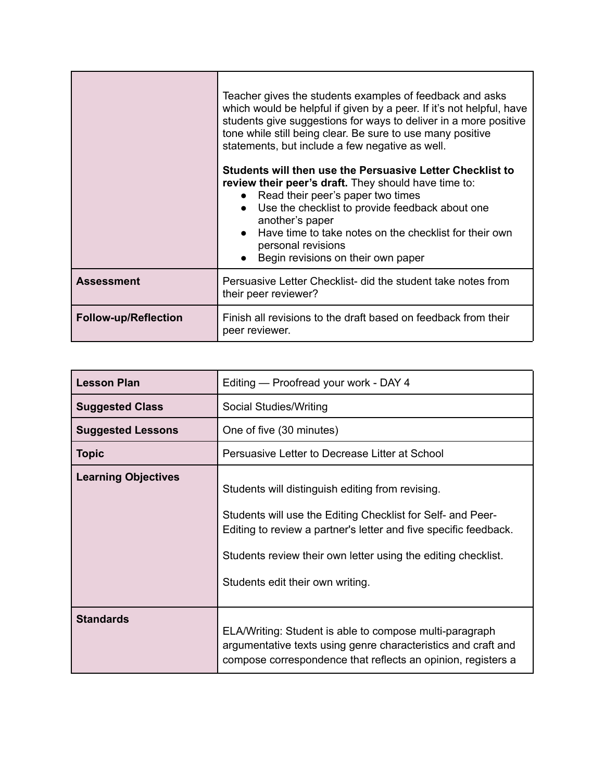|                             | Teacher gives the students examples of feedback and asks<br>which would be helpful if given by a peer. If it's not helpful, have<br>students give suggestions for ways to deliver in a more positive<br>tone while still being clear. Be sure to use many positive<br>statements, but include a few negative as well.<br>Students will then use the Persuasive Letter Checklist to<br>review their peer's draft. They should have time to:<br>Read their peer's paper two times<br>Use the checklist to provide feedback about one<br>another's paper<br>Have time to take notes on the checklist for their own<br>personal revisions<br>Begin revisions on their own paper |
|-----------------------------|-----------------------------------------------------------------------------------------------------------------------------------------------------------------------------------------------------------------------------------------------------------------------------------------------------------------------------------------------------------------------------------------------------------------------------------------------------------------------------------------------------------------------------------------------------------------------------------------------------------------------------------------------------------------------------|
| <b>Assessment</b>           | Persuasive Letter Checklist- did the student take notes from<br>their peer reviewer?                                                                                                                                                                                                                                                                                                                                                                                                                                                                                                                                                                                        |
| <b>Follow-up/Reflection</b> | Finish all revisions to the draft based on feedback from their<br>peer reviewer.                                                                                                                                                                                                                                                                                                                                                                                                                                                                                                                                                                                            |

| <b>Lesson Plan</b>         | Editing - Proofread your work - DAY 4                                                                                                                                                                                                                                                    |
|----------------------------|------------------------------------------------------------------------------------------------------------------------------------------------------------------------------------------------------------------------------------------------------------------------------------------|
| <b>Suggested Class</b>     | Social Studies/Writing                                                                                                                                                                                                                                                                   |
| <b>Suggested Lessons</b>   | One of five (30 minutes)                                                                                                                                                                                                                                                                 |
| <b>Topic</b>               | Persuasive Letter to Decrease Litter at School                                                                                                                                                                                                                                           |
| <b>Learning Objectives</b> | Students will distinguish editing from revising.<br>Students will use the Editing Checklist for Self- and Peer-<br>Editing to review a partner's letter and five specific feedback.<br>Students review their own letter using the editing checklist.<br>Students edit their own writing. |
| <b>Standards</b>           | ELA/Writing: Student is able to compose multi-paragraph<br>argumentative texts using genre characteristics and craft and<br>compose correspondence that reflects an opinion, registers a                                                                                                 |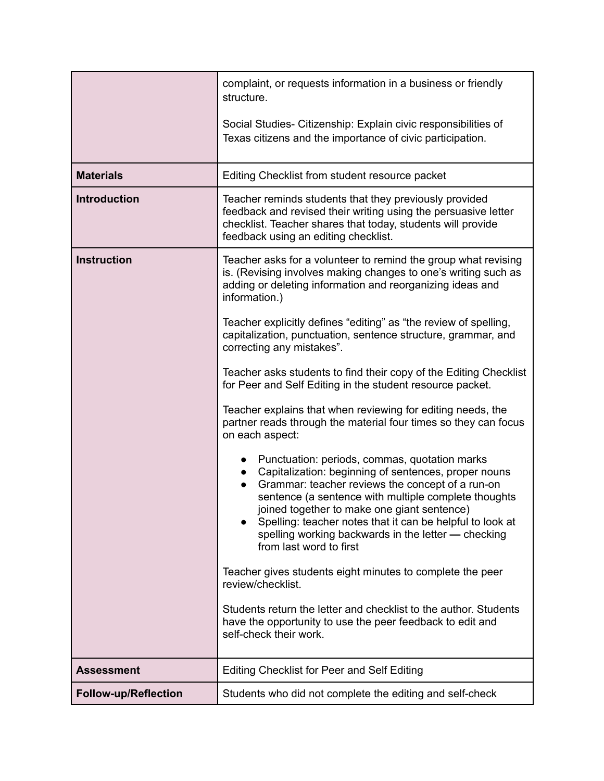|                             | complaint, or requests information in a business or friendly<br>structure.                                                                                                                                                                                                                                                                                                                                                   |
|-----------------------------|------------------------------------------------------------------------------------------------------------------------------------------------------------------------------------------------------------------------------------------------------------------------------------------------------------------------------------------------------------------------------------------------------------------------------|
|                             | Social Studies- Citizenship: Explain civic responsibilities of<br>Texas citizens and the importance of civic participation.                                                                                                                                                                                                                                                                                                  |
| <b>Materials</b>            | Editing Checklist from student resource packet                                                                                                                                                                                                                                                                                                                                                                               |
| <b>Introduction</b>         | Teacher reminds students that they previously provided<br>feedback and revised their writing using the persuasive letter<br>checklist. Teacher shares that today, students will provide<br>feedback using an editing checklist.                                                                                                                                                                                              |
| <b>Instruction</b>          | Teacher asks for a volunteer to remind the group what revising<br>is. (Revising involves making changes to one's writing such as<br>adding or deleting information and reorganizing ideas and<br>information.)                                                                                                                                                                                                               |
|                             | Teacher explicitly defines "editing" as "the review of spelling,<br>capitalization, punctuation, sentence structure, grammar, and<br>correcting any mistakes".                                                                                                                                                                                                                                                               |
|                             | Teacher asks students to find their copy of the Editing Checklist<br>for Peer and Self Editing in the student resource packet.                                                                                                                                                                                                                                                                                               |
|                             | Teacher explains that when reviewing for editing needs, the<br>partner reads through the material four times so they can focus<br>on each aspect:                                                                                                                                                                                                                                                                            |
|                             | Punctuation: periods, commas, quotation marks<br>Capitalization: beginning of sentences, proper nouns<br>Grammar: teacher reviews the concept of a run-on<br>$\bullet$<br>sentence (a sentence with multiple complete thoughts<br>joined together to make one giant sentence)<br>Spelling: teacher notes that it can be helpful to look at<br>spelling working backwards in the letter - checking<br>from last word to first |
|                             | Teacher gives students eight minutes to complete the peer<br>review/checklist.                                                                                                                                                                                                                                                                                                                                               |
|                             | Students return the letter and checklist to the author. Students<br>have the opportunity to use the peer feedback to edit and<br>self-check their work.                                                                                                                                                                                                                                                                      |
| <b>Assessment</b>           | <b>Editing Checklist for Peer and Self Editing</b>                                                                                                                                                                                                                                                                                                                                                                           |
| <b>Follow-up/Reflection</b> | Students who did not complete the editing and self-check                                                                                                                                                                                                                                                                                                                                                                     |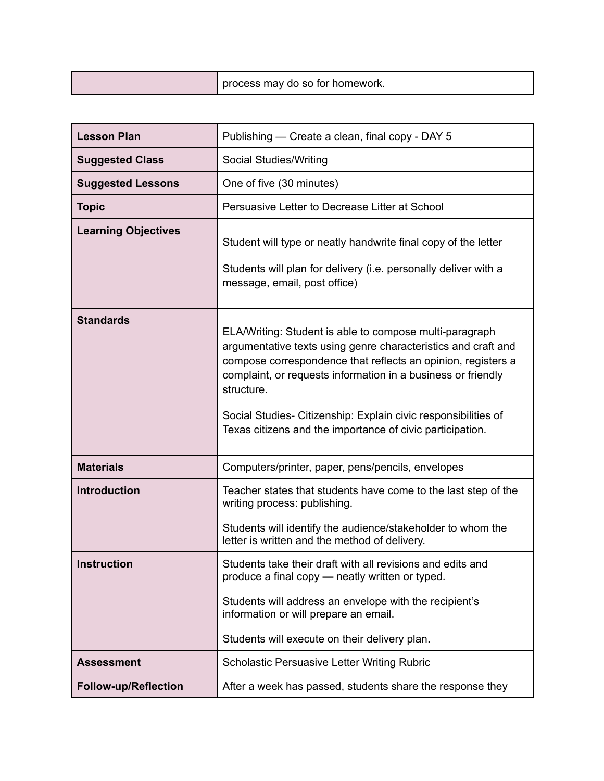| cess may do so for homework. |
|------------------------------|
|------------------------------|

| <b>Lesson Plan</b>          | Publishing — Create a clean, final copy - DAY 5                                                                                                                                                                                                                                                                                                                                                       |
|-----------------------------|-------------------------------------------------------------------------------------------------------------------------------------------------------------------------------------------------------------------------------------------------------------------------------------------------------------------------------------------------------------------------------------------------------|
| <b>Suggested Class</b>      | Social Studies/Writing                                                                                                                                                                                                                                                                                                                                                                                |
| <b>Suggested Lessons</b>    | One of five (30 minutes)                                                                                                                                                                                                                                                                                                                                                                              |
| <b>Topic</b>                | Persuasive Letter to Decrease Litter at School                                                                                                                                                                                                                                                                                                                                                        |
| <b>Learning Objectives</b>  | Student will type or neatly handwrite final copy of the letter<br>Students will plan for delivery (i.e. personally deliver with a<br>message, email, post office)                                                                                                                                                                                                                                     |
| <b>Standards</b>            | ELA/Writing: Student is able to compose multi-paragraph<br>argumentative texts using genre characteristics and craft and<br>compose correspondence that reflects an opinion, registers a<br>complaint, or requests information in a business or friendly<br>structure.<br>Social Studies- Citizenship: Explain civic responsibilities of<br>Texas citizens and the importance of civic participation. |
| <b>Materials</b>            | Computers/printer, paper, pens/pencils, envelopes                                                                                                                                                                                                                                                                                                                                                     |
| <b>Introduction</b>         | Teacher states that students have come to the last step of the<br>writing process: publishing.<br>Students will identify the audience/stakeholder to whom the<br>letter is written and the method of delivery.                                                                                                                                                                                        |
| Instruction                 | Students take their draft with all revisions and edits and<br>produce a final copy - neatly written or typed.<br>Students will address an envelope with the recipient's<br>information or will prepare an email.<br>Students will execute on their delivery plan.                                                                                                                                     |
| <b>Assessment</b>           | <b>Scholastic Persuasive Letter Writing Rubric</b>                                                                                                                                                                                                                                                                                                                                                    |
| <b>Follow-up/Reflection</b> | After a week has passed, students share the response they                                                                                                                                                                                                                                                                                                                                             |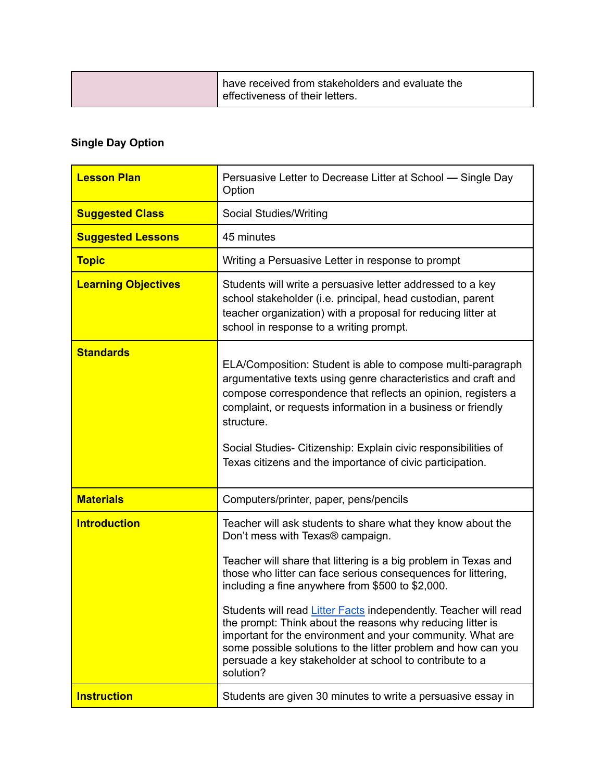| I have received from stakeholders and evaluate the<br>effectiveness of their letters. |
|---------------------------------------------------------------------------------------|
|                                                                                       |

## **Single Day Option**

| <b>Lesson Plan</b>         | Persuasive Letter to Decrease Litter at School — Single Day<br>Option                                                                                                                                                                                                                                                                                                                                                                                                                                                                                                                                                            |
|----------------------------|----------------------------------------------------------------------------------------------------------------------------------------------------------------------------------------------------------------------------------------------------------------------------------------------------------------------------------------------------------------------------------------------------------------------------------------------------------------------------------------------------------------------------------------------------------------------------------------------------------------------------------|
| <b>Suggested Class</b>     | Social Studies/Writing                                                                                                                                                                                                                                                                                                                                                                                                                                                                                                                                                                                                           |
| <b>Suggested Lessons</b>   | 45 minutes                                                                                                                                                                                                                                                                                                                                                                                                                                                                                                                                                                                                                       |
| <b>Topic</b>               | Writing a Persuasive Letter in response to prompt                                                                                                                                                                                                                                                                                                                                                                                                                                                                                                                                                                                |
| <b>Learning Objectives</b> | Students will write a persuasive letter addressed to a key<br>school stakeholder (i.e. principal, head custodian, parent<br>teacher organization) with a proposal for reducing litter at<br>school in response to a writing prompt.                                                                                                                                                                                                                                                                                                                                                                                              |
| <b>Standards</b>           | ELA/Composition: Student is able to compose multi-paragraph<br>argumentative texts using genre characteristics and craft and<br>compose correspondence that reflects an opinion, registers a<br>complaint, or requests information in a business or friendly<br>structure.<br>Social Studies- Citizenship: Explain civic responsibilities of<br>Texas citizens and the importance of civic participation.                                                                                                                                                                                                                        |
| <b>Materials</b>           | Computers/printer, paper, pens/pencils                                                                                                                                                                                                                                                                                                                                                                                                                                                                                                                                                                                           |
| <b>Introduction</b>        | Teacher will ask students to share what they know about the<br>Don't mess with Texas® campaign.<br>Teacher will share that littering is a big problem in Texas and<br>those who litter can face serious consequences for littering,<br>including a fine anywhere from \$500 to \$2,000.<br>Students will read Litter Facts independently. Teacher will read<br>the prompt: Think about the reasons why reducing litter is<br>important for the environment and your community. What are<br>some possible solutions to the litter problem and how can you<br>persuade a key stakeholder at school to contribute to a<br>solution? |
| <b>Instruction</b>         | Students are given 30 minutes to write a persuasive essay in                                                                                                                                                                                                                                                                                                                                                                                                                                                                                                                                                                     |